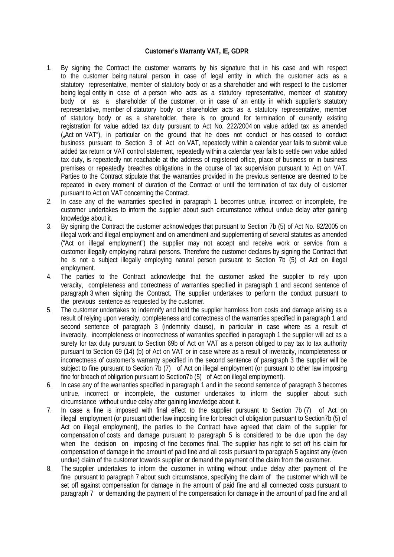## **Customer's Warranty VAT, IE, GDPR**

- 1. By signing the Contract the customer warrants by his signature that in his case and with respect to the customer being natural person in case of legal entity in which the customer acts as a statutory representative, member of statutory body or as a shareholder and with respect to the customer being legal entity in case of a person who acts as a statutory representative, member of statutory body or as a shareholder of the customer, or in case of an entity in which supplier's statutory representative, member of statutory body or shareholder acts as a statutory representative, member of statutory body or as a shareholder, there is no ground for termination of currently existing registration for value added tax duty pursuant to Act No. 222/2004 on value added tax as amended  $(Act)$  on VAT<sup>"</sup>), in particular on the ground that he does not conduct or has ceased to conduct business pursuant to Section 3 of Act on VAT, repeatedly within a calendar year fails to submit value added tax return or VAT control statement, repeatedly within a calendar year fails to settle own value added tax duty, is repeatedly not reachable at the address of registered office, place of business or in business premises or repeatedly breaches obligations in the course of tax supervision pursuant to Act on VAT. Parties to the Contract stipulate that the warranties provided in the previous sentence are deemed to be repeated in every moment of duration of the Contract or until the termination of tax duty of customer pursuant to Act on VAT concerning the Contract.
- 2. In case any of the warranties specified in paragraph 1 becomes untrue, incorrect or incomplete, the customer undertakes to inform the supplier about such circumstance without undue delay after gaining knowledge about it.
- 3. By signing the Contract the customer acknowledges that pursuant to Section 7b (5) of Act No. 82/2005 on illegal work and illegal employment and on amendment and supplementing of several statutes as amended ("Act on illegal employment") the supplier may not accept and receive work or service from a customer illegally employing natural persons. Therefore the customer declares by signing the Contract that he is not a subject illegally employing natural person pursuant to Section 7b (5) of Act on illegal employment.
- 4. The parties to the Contract acknowledge that the customer asked the supplier to rely upon veracity, completeness and correctness of warranties specified in paragraph 1 and second sentence of paragraph 3 when signing the Contract. The supplier undertakes to perform the conduct pursuant to the previous sentence as requested by the customer.
- 5. The customer undertakes to indemnify and hold the supplier harmless from costs and damage arising as a result of relying upon veracity, completeness and correctness of the warranties specified in paragraph 1 and second sentence of paragraph 3 (indemnity clause), in particular in case where as a result of inveracity, incompleteness or incorrectness of warranties specified in paragraph 1 the supplier will act as a surety for tax duty pursuant to Section 69b of Act on VAT as a person obliged to pay tax to tax authority pursuant to Section 69 (14) (b) of Act on VAT or in case where as a result of inveracity, incompleteness or incorrectness of customer's warranty specified in the second sentence of paragraph 3 the supplier will be subject to fine pursuant to Section 7b (7) of Act on illegal employment (or pursuant to other law imposing fine for breach of obligation pursuant to Section7b (5) of Act on illegal employment).
- 6. In case any of the warranties specified in paragraph 1 and in the second sentence of paragraph 3 becomes untrue, incorrect or incomplete, the customer undertakes to inform the supplier about such circumstance without undue delay after gaining knowledge about it.
- 7. In case a fine is imposed with final effect to the supplier pursuant to Section 7b (7) of Act on illegal employment (or pursuant other law imposing fine for breach of obligation pursuant to Section7b (5) of Act on illegal employment), the parties to the Contract have agreed that claim of the supplier for compensation of costs and damage pursuant to paragraph 5 is considered to be due upon the day when the decision on imposing of fine becomes final. The supplier has right to set off his claim for compensation of damage in the amount of paid fine and all costs pursuant to paragraph 5 against any (even undue) claim of the customer towards supplier or demand the payment of the claim from the customer.
- 8. The supplier undertakes to inform the customer in writing without undue delay after payment of the fine pursuant to paragraph 7 about such circumstance, specifying the claim of the customer which will be set off against compensation for damage in the amount of paid fine and all connected costs pursuant to paragraph 7 or demanding the payment of the compensation for damage in the amount of paid fine and all